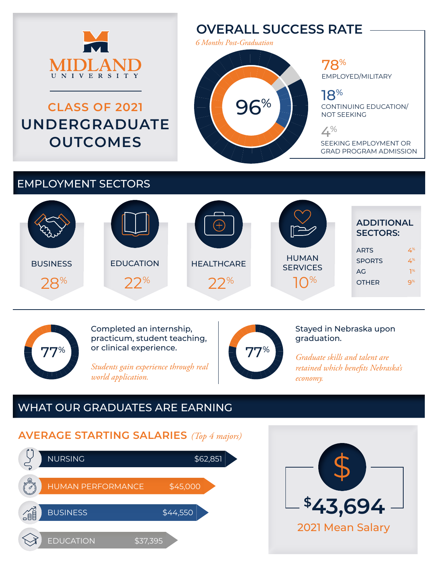

# **CLASS OF 2021 UNDERGRADUATE OUTCOMES**

## **OVERALL SUCCESS RATE**

*6 Months Post-Graduation*

96%

#### 78% EMPLOYED/MILITARY

18%

CONTINUING EDUCATION/ NOT SEEKING

 $4%$ 

SEEKING EMPLOYMENT OR GRAD PROGRAM ADMISSION

### EMPLOYMENT SECTORS





Completed an internship, practicum, student teaching, or clinical experience.

*Students gain experience through real world application.*



Stayed in Nebraska upon graduation.

*Graduate skills and talent are retained which benefits Nebraska's economy.*

## WHAT OUR GRADUATES ARE EARNING

## **AVERAGE STARTING SALARIES** *(Top 4 majors)*